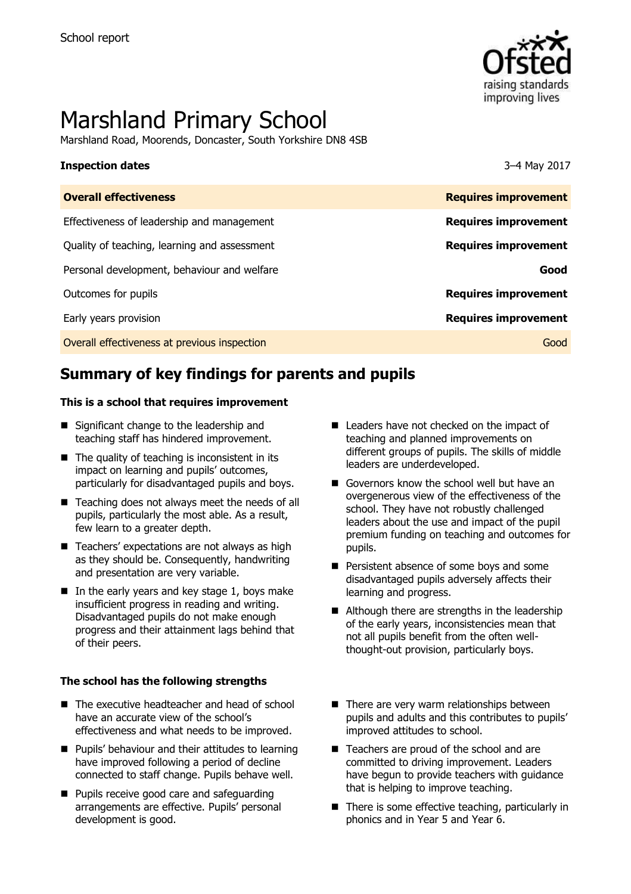

# Marshland Primary School

Marshland Road, Moorends, Doncaster, South Yorkshire DN8 4SB

### **Inspection dates** 3–4 May 2017

| <b>Overall effectiveness</b>                 | <b>Requires improvement</b> |
|----------------------------------------------|-----------------------------|
| Effectiveness of leadership and management   | <b>Requires improvement</b> |
| Quality of teaching, learning and assessment | <b>Requires improvement</b> |
| Personal development, behaviour and welfare  | Good                        |
| Outcomes for pupils                          | <b>Requires improvement</b> |
| Early years provision                        | <b>Requires improvement</b> |
| Overall effectiveness at previous inspection | Good                        |
|                                              |                             |

# **Summary of key findings for parents and pupils**

### **This is a school that requires improvement**

- Significant change to the leadership and teaching staff has hindered improvement.
- $\blacksquare$  The quality of teaching is inconsistent in its impact on learning and pupils' outcomes, particularly for disadvantaged pupils and boys.
- Teaching does not always meet the needs of all pupils, particularly the most able. As a result, few learn to a greater depth.
- $\blacksquare$  Teachers' expectations are not always as high as they should be. Consequently, handwriting and presentation are very variable.
- In the early years and key stage 1, boys make insufficient progress in reading and writing. Disadvantaged pupils do not make enough progress and their attainment lags behind that of their peers.

### **The school has the following strengths**

- The executive headteacher and head of school have an accurate view of the school's effectiveness and what needs to be improved.
- **Pupils' behaviour and their attitudes to learning** have improved following a period of decline connected to staff change. Pupils behave well.
- **Pupils receive good care and safeguarding** arrangements are effective. Pupils' personal development is good.
- Leaders have not checked on the impact of teaching and planned improvements on different groups of pupils. The skills of middle leaders are underdeveloped.
- Governors know the school well but have an overgenerous view of the effectiveness of the school. They have not robustly challenged leaders about the use and impact of the pupil premium funding on teaching and outcomes for pupils.
- **Persistent absence of some boys and some** disadvantaged pupils adversely affects their learning and progress.
- Although there are strengths in the leadership of the early years, inconsistencies mean that not all pupils benefit from the often wellthought-out provision, particularly boys.
- $\blacksquare$  There are very warm relationships between pupils and adults and this contributes to pupils' improved attitudes to school.
- Teachers are proud of the school and are committed to driving improvement. Leaders have begun to provide teachers with guidance that is helping to improve teaching.
- $\blacksquare$  There is some effective teaching, particularly in phonics and in Year 5 and Year 6.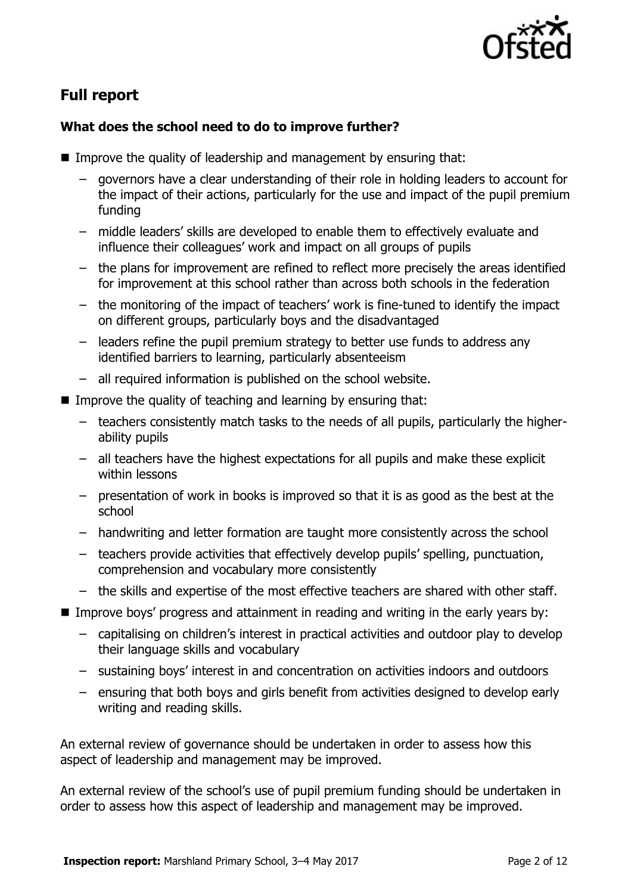

# **Full report**

### **What does the school need to do to improve further?**

- **I** Improve the quality of leadership and management by ensuring that:
	- governors have a clear understanding of their role in holding leaders to account for the impact of their actions, particularly for the use and impact of the pupil premium funding
	- middle leaders' skills are developed to enable them to effectively evaluate and influence their colleagues' work and impact on all groups of pupils
	- the plans for improvement are refined to reflect more precisely the areas identified for improvement at this school rather than across both schools in the federation
	- the monitoring of the impact of teachers' work is fine-tuned to identify the impact on different groups, particularly boys and the disadvantaged
	- leaders refine the pupil premium strategy to better use funds to address any identified barriers to learning, particularly absenteeism
	- all required information is published on the school website.
- Improve the quality of teaching and learning by ensuring that:
	- teachers consistently match tasks to the needs of all pupils, particularly the higherability pupils
	- all teachers have the highest expectations for all pupils and make these explicit within lessons
	- presentation of work in books is improved so that it is as good as the best at the school
	- handwriting and letter formation are taught more consistently across the school
	- teachers provide activities that effectively develop pupils' spelling, punctuation, comprehension and vocabulary more consistently
	- the skills and expertise of the most effective teachers are shared with other staff.
- Improve boys' progress and attainment in reading and writing in the early years by:
	- capitalising on children's interest in practical activities and outdoor play to develop their language skills and vocabulary
	- sustaining boys' interest in and concentration on activities indoors and outdoors
	- ensuring that both boys and girls benefit from activities designed to develop early writing and reading skills.

An external review of governance should be undertaken in order to assess how this aspect of leadership and management may be improved.

An external review of the school's use of pupil premium funding should be undertaken in order to assess how this aspect of leadership and management may be improved.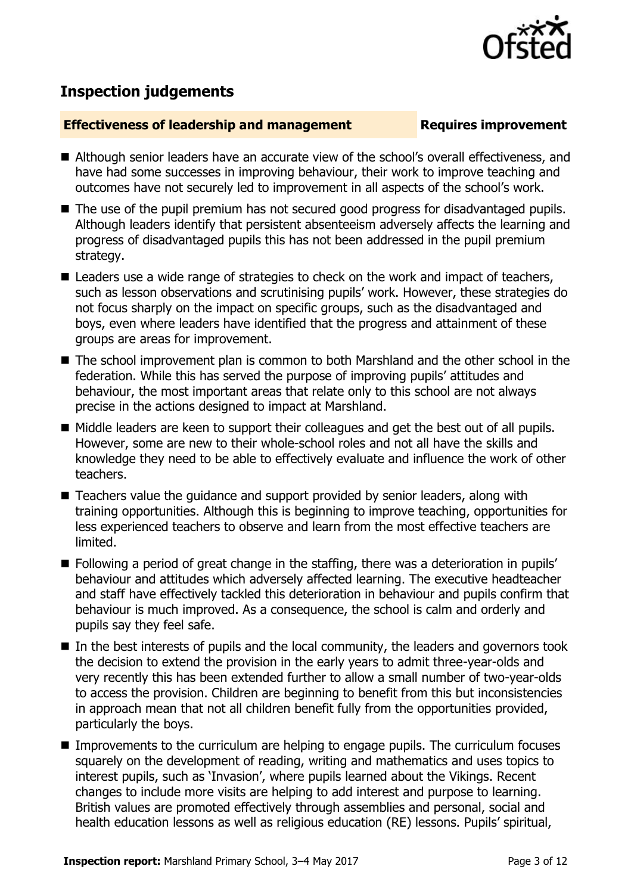### **Inspection report:** Marshland Primary School, 3–4 May 2017 **Page 3 of 12** Page 3 of 12

# **Inspection judgements**

### **Effectiveness of leadership and management Requires improvement**

- Although senior leaders have an accurate view of the school's overall effectiveness, and have had some successes in improving behaviour, their work to improve teaching and outcomes have not securely led to improvement in all aspects of the school's work.
- The use of the pupil premium has not secured good progress for disadvantaged pupils. Although leaders identify that persistent absenteeism adversely affects the learning and progress of disadvantaged pupils this has not been addressed in the pupil premium strategy.
- Leaders use a wide range of strategies to check on the work and impact of teachers, such as lesson observations and scrutinising pupils' work. However, these strategies do not focus sharply on the impact on specific groups, such as the disadvantaged and boys, even where leaders have identified that the progress and attainment of these groups are areas for improvement.
- The school improvement plan is common to both Marshland and the other school in the federation. While this has served the purpose of improving pupils' attitudes and behaviour, the most important areas that relate only to this school are not always precise in the actions designed to impact at Marshland.
- Middle leaders are keen to support their colleagues and get the best out of all pupils. However, some are new to their whole-school roles and not all have the skills and knowledge they need to be able to effectively evaluate and influence the work of other teachers.
- Teachers value the guidance and support provided by senior leaders, along with training opportunities. Although this is beginning to improve teaching, opportunities for less experienced teachers to observe and learn from the most effective teachers are limited.
- Following a period of great change in the staffing, there was a deterioration in pupils' behaviour and attitudes which adversely affected learning. The executive headteacher and staff have effectively tackled this deterioration in behaviour and pupils confirm that behaviour is much improved. As a consequence, the school is calm and orderly and pupils say they feel safe.
- $\blacksquare$  In the best interests of pupils and the local community, the leaders and governors took the decision to extend the provision in the early years to admit three-year-olds and very recently this has been extended further to allow a small number of two-year-olds to access the provision. Children are beginning to benefit from this but inconsistencies in approach mean that not all children benefit fully from the opportunities provided, particularly the boys.
- Improvements to the curriculum are helping to engage pupils. The curriculum focuses squarely on the development of reading, writing and mathematics and uses topics to interest pupils, such as 'Invasion', where pupils learned about the Vikings. Recent changes to include more visits are helping to add interest and purpose to learning. British values are promoted effectively through assemblies and personal, social and health education lessons as well as religious education (RE) lessons. Pupils' spiritual,

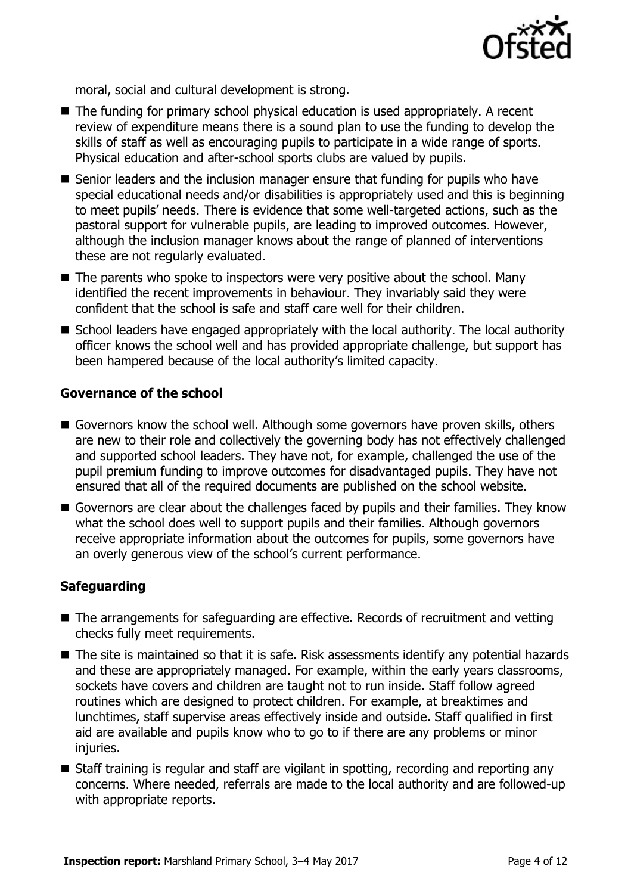

moral, social and cultural development is strong.

- The funding for primary school physical education is used appropriately. A recent review of expenditure means there is a sound plan to use the funding to develop the skills of staff as well as encouraging pupils to participate in a wide range of sports. Physical education and after-school sports clubs are valued by pupils.
- Senior leaders and the inclusion manager ensure that funding for pupils who have special educational needs and/or disabilities is appropriately used and this is beginning to meet pupils' needs. There is evidence that some well-targeted actions, such as the pastoral support for vulnerable pupils, are leading to improved outcomes. However, although the inclusion manager knows about the range of planned of interventions these are not regularly evaluated.
- $\blacksquare$  The parents who spoke to inspectors were very positive about the school. Many identified the recent improvements in behaviour. They invariably said they were confident that the school is safe and staff care well for their children.
- School leaders have engaged appropriately with the local authority. The local authority officer knows the school well and has provided appropriate challenge, but support has been hampered because of the local authority's limited capacity.

### **Governance of the school**

- Governors know the school well. Although some governors have proven skills, others are new to their role and collectively the governing body has not effectively challenged and supported school leaders. They have not, for example, challenged the use of the pupil premium funding to improve outcomes for disadvantaged pupils. They have not ensured that all of the required documents are published on the school website.
- Governors are clear about the challenges faced by pupils and their families. They know what the school does well to support pupils and their families. Although governors receive appropriate information about the outcomes for pupils, some governors have an overly generous view of the school's current performance.

### **Safeguarding**

- The arrangements for safeguarding are effective. Records of recruitment and vetting checks fully meet requirements.
- The site is maintained so that it is safe. Risk assessments identify any potential hazards and these are appropriately managed. For example, within the early years classrooms, sockets have covers and children are taught not to run inside. Staff follow agreed routines which are designed to protect children. For example, at breaktimes and lunchtimes, staff supervise areas effectively inside and outside. Staff qualified in first aid are available and pupils know who to go to if there are any problems or minor injuries.
- Staff training is regular and staff are vigilant in spotting, recording and reporting any concerns. Where needed, referrals are made to the local authority and are followed-up with appropriate reports.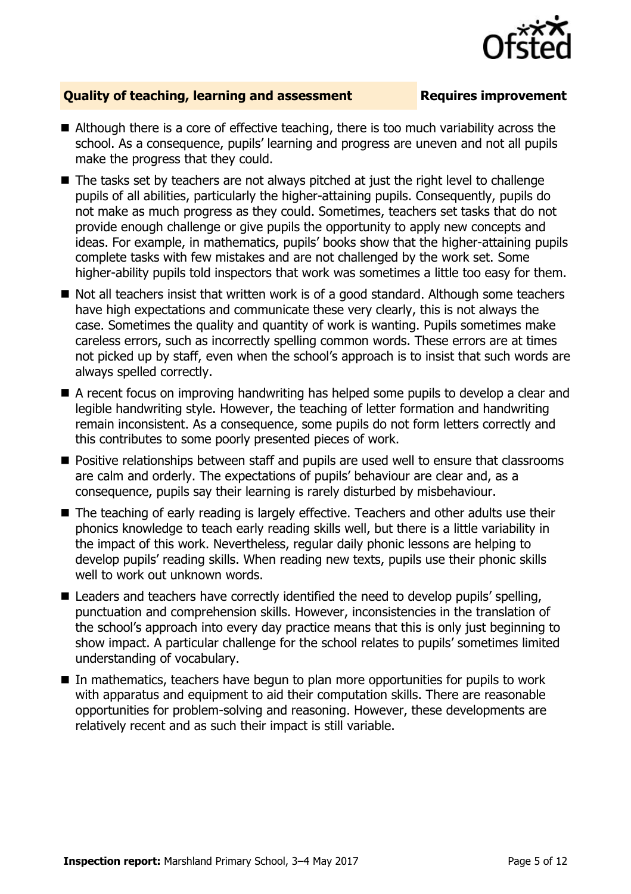

### **Quality of teaching, learning and assessment Requires improvement**

- Although there is a core of effective teaching, there is too much variability across the school. As a consequence, pupils' learning and progress are uneven and not all pupils make the progress that they could.
- The tasks set by teachers are not always pitched at just the right level to challenge pupils of all abilities, particularly the higher-attaining pupils. Consequently, pupils do not make as much progress as they could. Sometimes, teachers set tasks that do not provide enough challenge or give pupils the opportunity to apply new concepts and ideas. For example, in mathematics, pupils' books show that the higher-attaining pupils complete tasks with few mistakes and are not challenged by the work set. Some higher-ability pupils told inspectors that work was sometimes a little too easy for them.
- Not all teachers insist that written work is of a good standard. Although some teachers have high expectations and communicate these very clearly, this is not always the case. Sometimes the quality and quantity of work is wanting. Pupils sometimes make careless errors, such as incorrectly spelling common words. These errors are at times not picked up by staff, even when the school's approach is to insist that such words are always spelled correctly.
- A recent focus on improving handwriting has helped some pupils to develop a clear and legible handwriting style. However, the teaching of letter formation and handwriting remain inconsistent. As a consequence, some pupils do not form letters correctly and this contributes to some poorly presented pieces of work.
- **Positive relationships between staff and pupils are used well to ensure that classrooms** are calm and orderly. The expectations of pupils' behaviour are clear and, as a consequence, pupils say their learning is rarely disturbed by misbehaviour.
- The teaching of early reading is largely effective. Teachers and other adults use their phonics knowledge to teach early reading skills well, but there is a little variability in the impact of this work. Nevertheless, regular daily phonic lessons are helping to develop pupils' reading skills. When reading new texts, pupils use their phonic skills well to work out unknown words.
- Leaders and teachers have correctly identified the need to develop pupils' spelling, punctuation and comprehension skills. However, inconsistencies in the translation of the school's approach into every day practice means that this is only just beginning to show impact. A particular challenge for the school relates to pupils' sometimes limited understanding of vocabulary.
- In mathematics, teachers have begun to plan more opportunities for pupils to work with apparatus and equipment to aid their computation skills. There are reasonable opportunities for problem-solving and reasoning. However, these developments are relatively recent and as such their impact is still variable.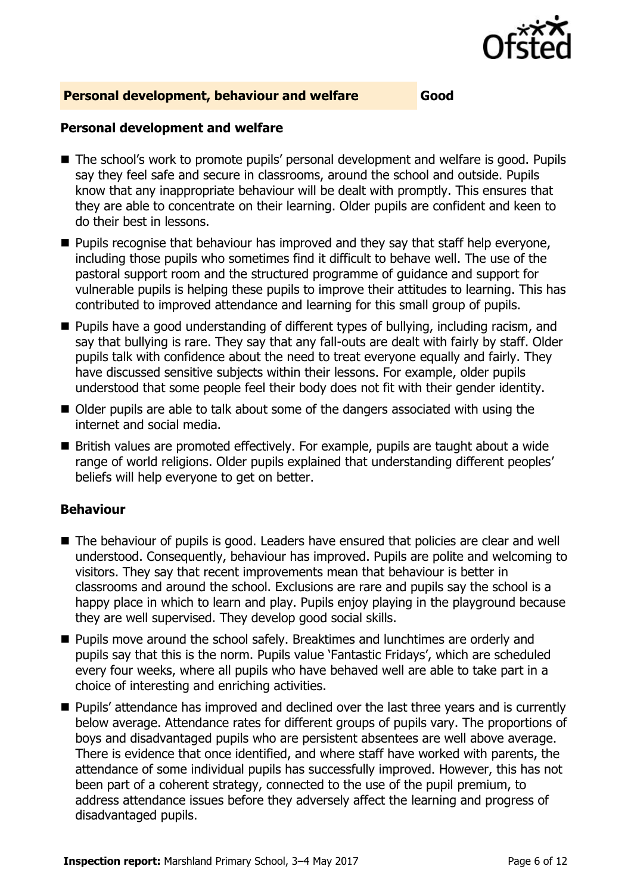

### **Personal development, behaviour and welfare Good**

### **Personal development and welfare**

- The school's work to promote pupils' personal development and welfare is good. Pupils say they feel safe and secure in classrooms, around the school and outside. Pupils know that any inappropriate behaviour will be dealt with promptly. This ensures that they are able to concentrate on their learning. Older pupils are confident and keen to do their best in lessons.
- **Pupils recognise that behaviour has improved and they say that staff help everyone,** including those pupils who sometimes find it difficult to behave well. The use of the pastoral support room and the structured programme of guidance and support for vulnerable pupils is helping these pupils to improve their attitudes to learning. This has contributed to improved attendance and learning for this small group of pupils.
- **Pupils have a good understanding of different types of bullying, including racism, and** say that bullying is rare. They say that any fall-outs are dealt with fairly by staff. Older pupils talk with confidence about the need to treat everyone equally and fairly. They have discussed sensitive subjects within their lessons. For example, older pupils understood that some people feel their body does not fit with their gender identity.
- Older pupils are able to talk about some of the dangers associated with using the internet and social media.
- British values are promoted effectively. For example, pupils are taught about a wide range of world religions. Older pupils explained that understanding different peoples' beliefs will help everyone to get on better.

### **Behaviour**

- The behaviour of pupils is good. Leaders have ensured that policies are clear and well understood. Consequently, behaviour has improved. Pupils are polite and welcoming to visitors. They say that recent improvements mean that behaviour is better in classrooms and around the school. Exclusions are rare and pupils say the school is a happy place in which to learn and play. Pupils enjoy playing in the playground because they are well supervised. They develop good social skills.
- Pupils move around the school safely. Breaktimes and lunchtimes are orderly and pupils say that this is the norm. Pupils value 'Fantastic Fridays', which are scheduled every four weeks, where all pupils who have behaved well are able to take part in a choice of interesting and enriching activities.
- **Pupils' attendance has improved and declined over the last three years and is currently** below average. Attendance rates for different groups of pupils vary. The proportions of boys and disadvantaged pupils who are persistent absentees are well above average. There is evidence that once identified, and where staff have worked with parents, the attendance of some individual pupils has successfully improved. However, this has not been part of a coherent strategy, connected to the use of the pupil premium, to address attendance issues before they adversely affect the learning and progress of disadvantaged pupils.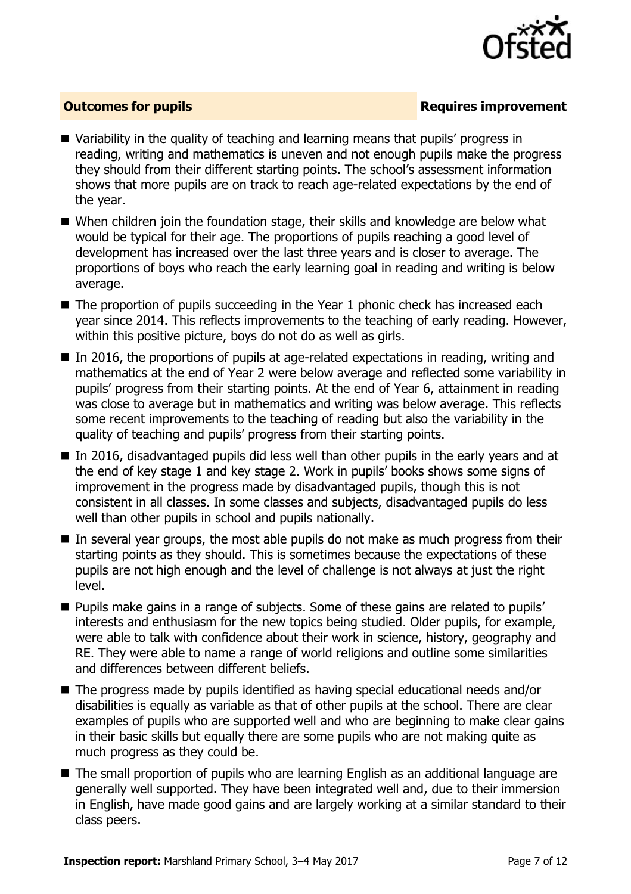

### **Outcomes for pupils Requires improvement**

- Variability in the quality of teaching and learning means that pupils' progress in reading, writing and mathematics is uneven and not enough pupils make the progress they should from their different starting points. The school's assessment information shows that more pupils are on track to reach age-related expectations by the end of the year.
- When children join the foundation stage, their skills and knowledge are below what would be typical for their age. The proportions of pupils reaching a good level of development has increased over the last three years and is closer to average. The proportions of boys who reach the early learning goal in reading and writing is below average.
- $\blacksquare$  The proportion of pupils succeeding in the Year 1 phonic check has increased each year since 2014. This reflects improvements to the teaching of early reading. However, within this positive picture, boys do not do as well as girls.
- $\blacksquare$  In 2016, the proportions of pupils at age-related expectations in reading, writing and mathematics at the end of Year 2 were below average and reflected some variability in pupils' progress from their starting points. At the end of Year 6, attainment in reading was close to average but in mathematics and writing was below average. This reflects some recent improvements to the teaching of reading but also the variability in the quality of teaching and pupils' progress from their starting points.
- In 2016, disadvantaged pupils did less well than other pupils in the early years and at the end of key stage 1 and key stage 2. Work in pupils' books shows some signs of improvement in the progress made by disadvantaged pupils, though this is not consistent in all classes. In some classes and subjects, disadvantaged pupils do less well than other pupils in school and pupils nationally.
- In several year groups, the most able pupils do not make as much progress from their starting points as they should. This is sometimes because the expectations of these pupils are not high enough and the level of challenge is not always at just the right level.
- **Pupils make gains in a range of subjects. Some of these gains are related to pupils'** interests and enthusiasm for the new topics being studied. Older pupils, for example, were able to talk with confidence about their work in science, history, geography and RE. They were able to name a range of world religions and outline some similarities and differences between different beliefs.
- The progress made by pupils identified as having special educational needs and/or disabilities is equally as variable as that of other pupils at the school. There are clear examples of pupils who are supported well and who are beginning to make clear gains in their basic skills but equally there are some pupils who are not making quite as much progress as they could be.
- The small proportion of pupils who are learning English as an additional language are generally well supported. They have been integrated well and, due to their immersion in English, have made good gains and are largely working at a similar standard to their class peers.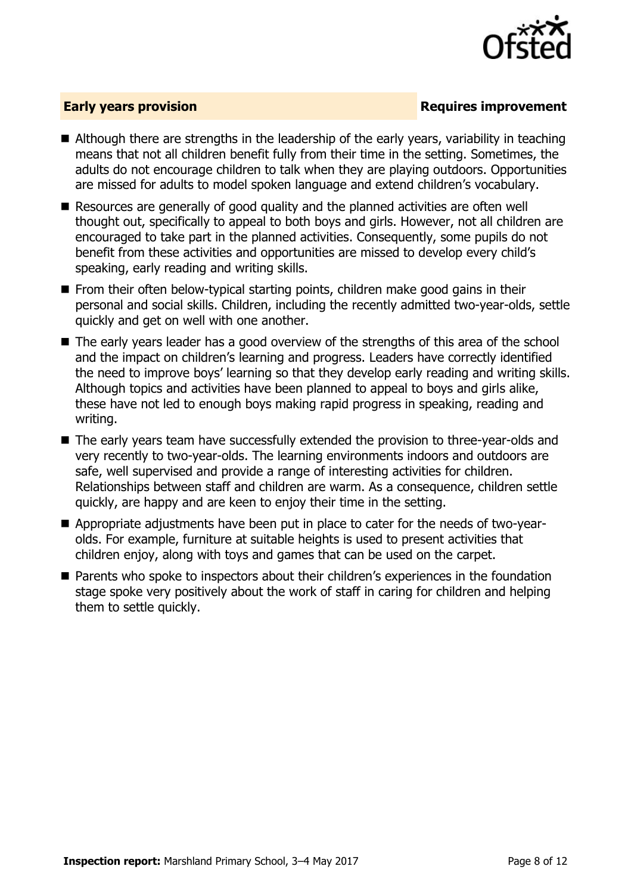

### **Early years provision**

- Although there are strengths in the leadership of the early years, variability in teaching means that not all children benefit fully from their time in the setting. Sometimes, the adults do not encourage children to talk when they are playing outdoors. Opportunities are missed for adults to model spoken language and extend children's vocabulary.
- Resources are generally of good quality and the planned activities are often well thought out, specifically to appeal to both boys and girls. However, not all children are encouraged to take part in the planned activities. Consequently, some pupils do not benefit from these activities and opportunities are missed to develop every child's speaking, early reading and writing skills.
- $\blacksquare$  From their often below-typical starting points, children make good gains in their personal and social skills. Children, including the recently admitted two-year-olds, settle quickly and get on well with one another.
- The early years leader has a good overview of the strengths of this area of the school and the impact on children's learning and progress. Leaders have correctly identified the need to improve boys' learning so that they develop early reading and writing skills. Although topics and activities have been planned to appeal to boys and girls alike, these have not led to enough boys making rapid progress in speaking, reading and writing.
- The early years team have successfully extended the provision to three-year-olds and very recently to two-year-olds. The learning environments indoors and outdoors are safe, well supervised and provide a range of interesting activities for children. Relationships between staff and children are warm. As a consequence, children settle quickly, are happy and are keen to enjoy their time in the setting.
- Appropriate adjustments have been put in place to cater for the needs of two-yearolds. For example, furniture at suitable heights is used to present activities that children enjoy, along with toys and games that can be used on the carpet.
- Parents who spoke to inspectors about their children's experiences in the foundation stage spoke very positively about the work of staff in caring for children and helping them to settle quickly.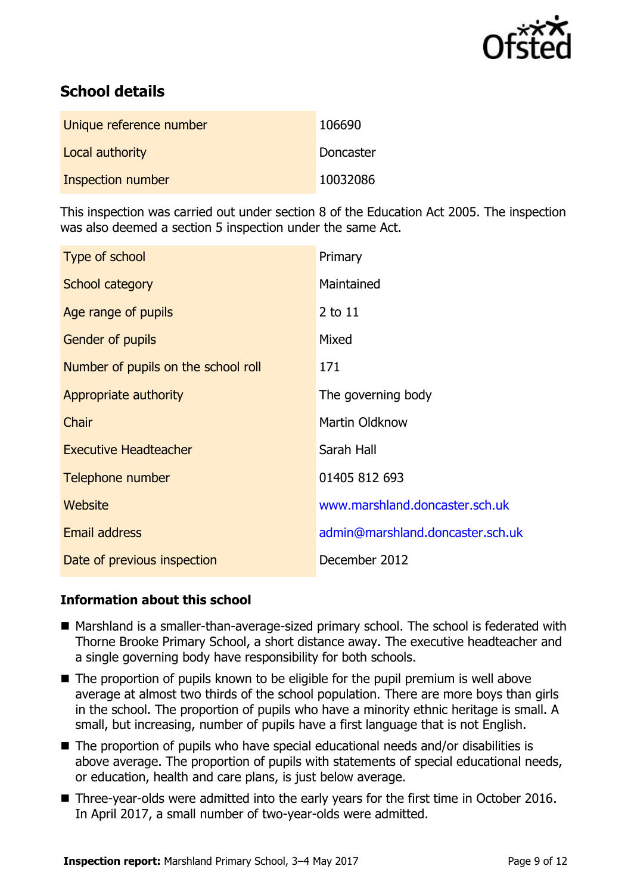

# **School details**

| Unique reference number | 106690    |
|-------------------------|-----------|
| Local authority         | Doncaster |
| Inspection number       | 10032086  |

This inspection was carried out under section 8 of the Education Act 2005. The inspection was also deemed a section 5 inspection under the same Act.

| Type of school                      | Primary                          |
|-------------------------------------|----------------------------------|
| School category                     | Maintained                       |
| Age range of pupils                 | 2 to 11                          |
| <b>Gender of pupils</b>             | Mixed                            |
| Number of pupils on the school roll | 171                              |
| Appropriate authority               | The governing body               |
| Chair                               | <b>Martin Oldknow</b>            |
| <b>Executive Headteacher</b>        | Sarah Hall                       |
| Telephone number                    | 01405 812 693                    |
| Website                             | www.marshland.doncaster.sch.uk   |
| <b>Email address</b>                | admin@marshland.doncaster.sch.uk |
| Date of previous inspection         | December 2012                    |

### **Information about this school**

- Marshland is a smaller-than-average-sized primary school. The school is federated with Thorne Brooke Primary School, a short distance away. The executive headteacher and a single governing body have responsibility for both schools.
- $\blacksquare$  The proportion of pupils known to be eligible for the pupil premium is well above average at almost two thirds of the school population. There are more boys than girls in the school. The proportion of pupils who have a minority ethnic heritage is small. A small, but increasing, number of pupils have a first language that is not English.
- The proportion of pupils who have special educational needs and/or disabilities is above average. The proportion of pupils with statements of special educational needs, or education, health and care plans, is just below average.
- Three-year-olds were admitted into the early years for the first time in October 2016. In April 2017, a small number of two-year-olds were admitted.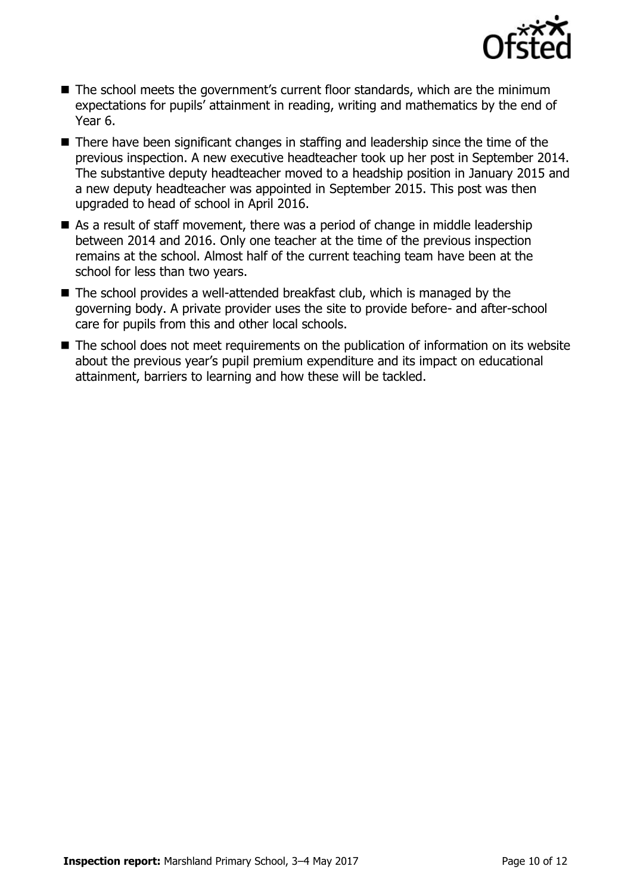

- The school meets the government's current floor standards, which are the minimum expectations for pupils' attainment in reading, writing and mathematics by the end of Year 6.
- There have been significant changes in staffing and leadership since the time of the previous inspection. A new executive headteacher took up her post in September 2014. The substantive deputy headteacher moved to a headship position in January 2015 and a new deputy headteacher was appointed in September 2015. This post was then upgraded to head of school in April 2016.
- As a result of staff movement, there was a period of change in middle leadership between 2014 and 2016. Only one teacher at the time of the previous inspection remains at the school. Almost half of the current teaching team have been at the school for less than two years.
- The school provides a well-attended breakfast club, which is managed by the governing body. A private provider uses the site to provide before- and after-school care for pupils from this and other local schools.
- The school does not meet requirements on the publication of information on its website about the previous year's pupil premium expenditure and its impact on educational attainment, barriers to learning and how these will be tackled.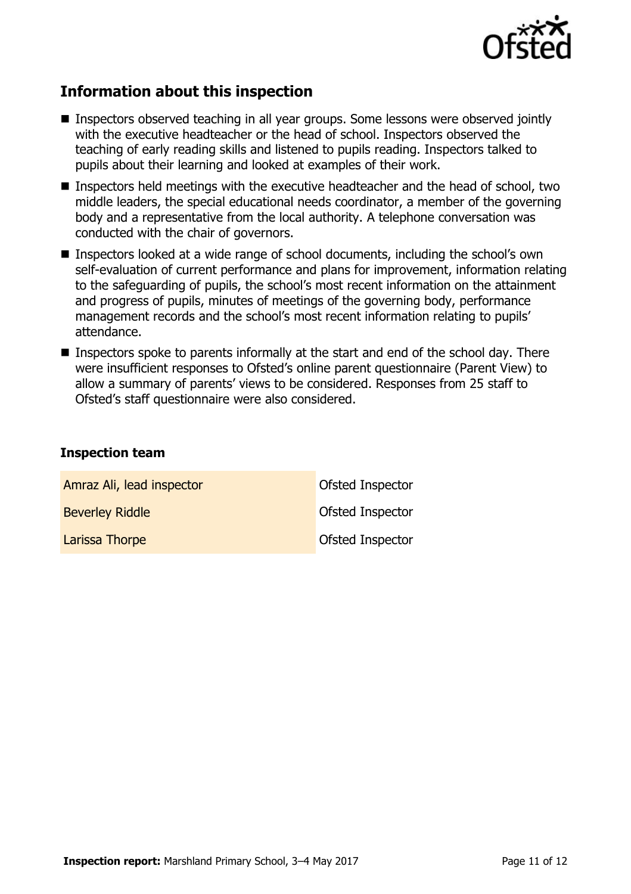

# **Information about this inspection**

- Inspectors observed teaching in all year groups. Some lessons were observed jointly with the executive headteacher or the head of school. Inspectors observed the teaching of early reading skills and listened to pupils reading. Inspectors talked to pupils about their learning and looked at examples of their work.
- **Inspectors held meetings with the executive headteacher and the head of school, two** middle leaders, the special educational needs coordinator, a member of the governing body and a representative from the local authority. A telephone conversation was conducted with the chair of governors.
- Inspectors looked at a wide range of school documents, including the school's own self-evaluation of current performance and plans for improvement, information relating to the safeguarding of pupils, the school's most recent information on the attainment and progress of pupils, minutes of meetings of the governing body, performance management records and the school's most recent information relating to pupils' attendance.
- $\blacksquare$  Inspectors spoke to parents informally at the start and end of the school day. There were insufficient responses to Ofsted's online parent questionnaire (Parent View) to allow a summary of parents' views to be considered. Responses from 25 staff to Ofsted's staff questionnaire were also considered.

### **Inspection team**

| Amraz Ali, lead inspector | Ofsted Inspector        |
|---------------------------|-------------------------|
| <b>Beverley Riddle</b>    | <b>Ofsted Inspector</b> |
| Larissa Thorpe            | <b>Ofsted Inspector</b> |